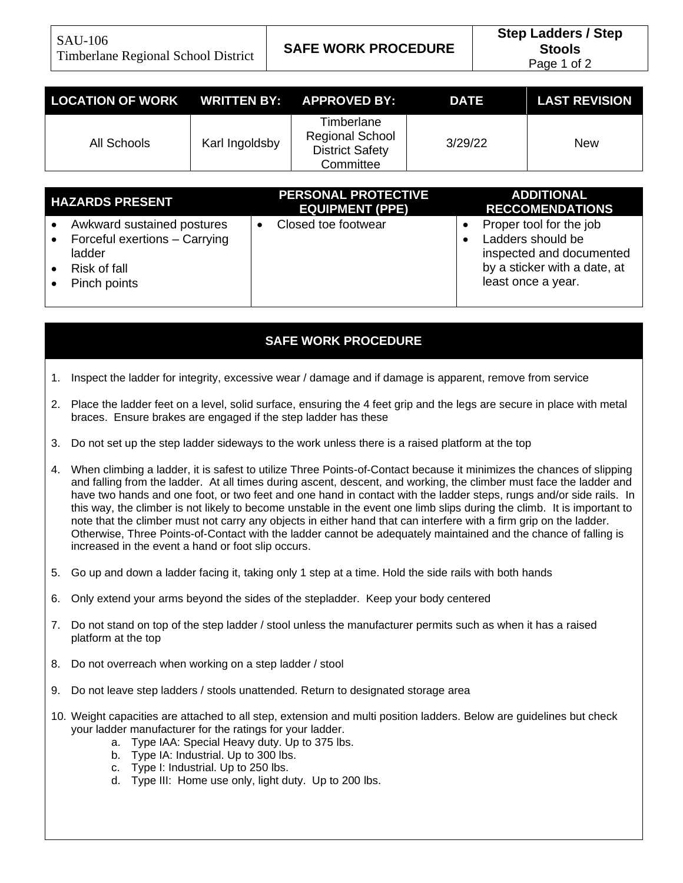| LOCATION OF WORK WRITTEN BY: APPROVED BY: |                |                                                                             | <b>DATE</b> | <b>LAST REVISION</b> |
|-------------------------------------------|----------------|-----------------------------------------------------------------------------|-------------|----------------------|
| All Schools                               | Karl Ingoldsby | Timberlane<br><b>Regional School</b><br><b>District Safety</b><br>Committee | 3/29/22     | New                  |

| <b>HAZARDS PRESENT</b>                                                                                | <b>PERSONAL PROTECTIVE</b><br><b>EQUIPMENT (PPE)</b> | <b>ADDITIONAL</b><br><b>RECCOMENDATIONS</b>                                                                                    |
|-------------------------------------------------------------------------------------------------------|------------------------------------------------------|--------------------------------------------------------------------------------------------------------------------------------|
| Awkward sustained postures<br>Forceful exertions - Carrying<br>ladder<br>Risk of fall<br>Pinch points | Closed toe footwear                                  | Proper tool for the job<br>Ladders should be<br>inspected and documented<br>by a sticker with a date, at<br>least once a year. |

## **SAFE WORK PROCEDURE**

- 1. Inspect the ladder for integrity, excessive wear / damage and if damage is apparent, remove from service
- 2. Place the ladder feet on a level, solid surface, ensuring the 4 feet grip and the legs are secure in place with metal braces. Ensure brakes are engaged if the step ladder has these
- 3. Do not set up the step ladder sideways to the work unless there is a raised platform at the top
- 4. When climbing a ladder, it is safest to utilize Three Points-of-Contact because it minimizes the chances of slipping and falling from the ladder. At all times during ascent, descent, and working, the climber must face the ladder and have two hands and one foot, or two feet and one hand in contact with the ladder steps, rungs and/or side rails. In this way, the climber is not likely to become unstable in the event one limb slips during the climb. It is important to note that the climber must not carry any objects in either hand that can interfere with a firm grip on the ladder. Otherwise, Three Points-of-Contact with the ladder cannot be adequately maintained and the chance of falling is increased in the event a hand or foot slip occurs.
- 5. Go up and down a ladder facing it, taking only 1 step at a time. Hold the side rails with both hands
- 6. Only extend your arms beyond the sides of the stepladder. Keep your body centered
- 7. Do not stand on top of the step ladder / stool unless the manufacturer permits such as when it has a raised platform at the top
- 8. Do not overreach when working on a step ladder / stool
- 9. Do not leave step ladders / stools unattended. Return to designated storage area
- 10. Weight capacities are attached to all step, extension and multi position ladders. Below are guidelines but check your ladder manufacturer for the ratings for your ladder.
	- a. Type IAA: Special Heavy duty. Up to 375 lbs.
	- b. Type IA: Industrial. Up to 300 lbs.
	- c. Type I: Industrial. Up to 250 lbs.
	- d. Type III: Home use only, light duty. Up to 200 lbs.